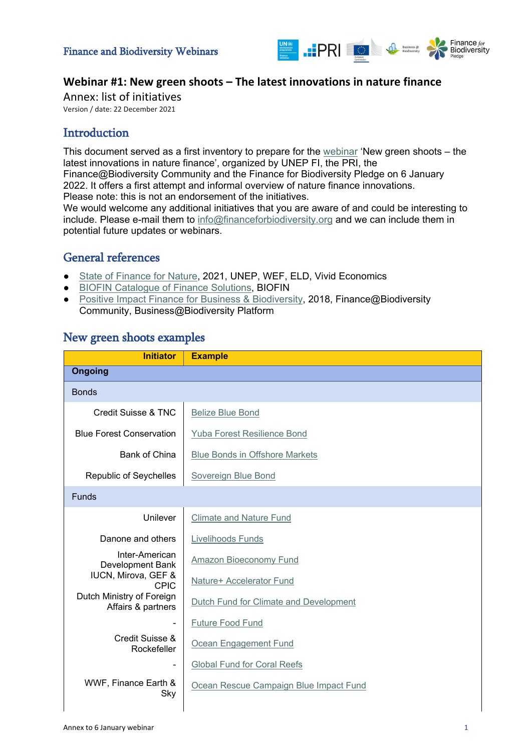

### **Webinar #1: New green shoots – The latest innovations in nature finance**

Annex: list of initiatives Version / date: 22 December 2021

### **Introduction**

This document served as a first inventory to prepare for the [webinar](https://www.financeforbiodiversity.org/finance-and-biodiversity-webinars/) 'New green shoots – the latest innovations in nature finance', organized by UNEP FI, the PRI, the Finance@Biodiversity Community and the Finance for Biodiversity Pledge on 6 January 2022. It offers a first attempt and informal overview of nature finance innovations. Please note: this is not an endorsement of the initiatives. We would welcome any additional initiatives that you are aware of and could be interesting to

include. Please e-mail them to [info@financeforbiodiversity.org](mailto:info@financeforbiodiversity.org) and we can include them in potential future updates or webinars.

## General references

- [State of Finance for Nature,](https://www.unep.org/resources/state-finance-nature) 2021, UNEP, WEF, ELD, Vivid Economics
- [BIOFIN Catalogue of Finance Solutions,](https://www.biofin.org/index.php/finance-solutions) BIOFIN
- [Positive Impact Finance for Business & Biodiversity,](https://ec.europa.eu/environment/biodiversity/business/assets/pdf/Positive_Impact_Finance-EU_Business_Biodiversity_Platform_2018.pdf) 2018, Finance@Biodiversity Community, Business@Biodiversity Platform

| <b>Initiator</b>                                                         | <b>Example</b>                                     |  |
|--------------------------------------------------------------------------|----------------------------------------------------|--|
| <b>Ongoing</b>                                                           |                                                    |  |
| <b>Bonds</b>                                                             |                                                    |  |
| Credit Suisse & TNC                                                      | <b>Belize Blue Bond</b>                            |  |
| <b>Blue Forest Conservation</b>                                          | Yuba Forest Resilience Bond                        |  |
| <b>Bank of China</b>                                                     | <b>Blue Bonds in Offshore Markets</b>              |  |
| Republic of Seychelles                                                   | Sovereign Blue Bond                                |  |
| <b>Funds</b>                                                             |                                                    |  |
| Unilever                                                                 | <b>Climate and Nature Fund</b>                     |  |
| Danone and others                                                        | Livelihoods Funds                                  |  |
| Inter-American<br>Development Bank<br>IUCN, Mirova, GEF &<br><b>CPIC</b> | Amazon Bioeconomy Fund<br>Nature+ Accelerator Fund |  |
| Dutch Ministry of Foreign<br>Affairs & partners                          | Dutch Fund for Climate and Development             |  |
|                                                                          | Future Food Fund                                   |  |
| Credit Suisse &<br>Rockefeller                                           | Ocean Engagement Fund                              |  |
|                                                                          | <b>Global Fund for Coral Reefs</b>                 |  |
| WWF, Finance Earth &<br>Sky                                              | Ocean Rescue Campaign Blue Impact Fund             |  |

### New green shoots examples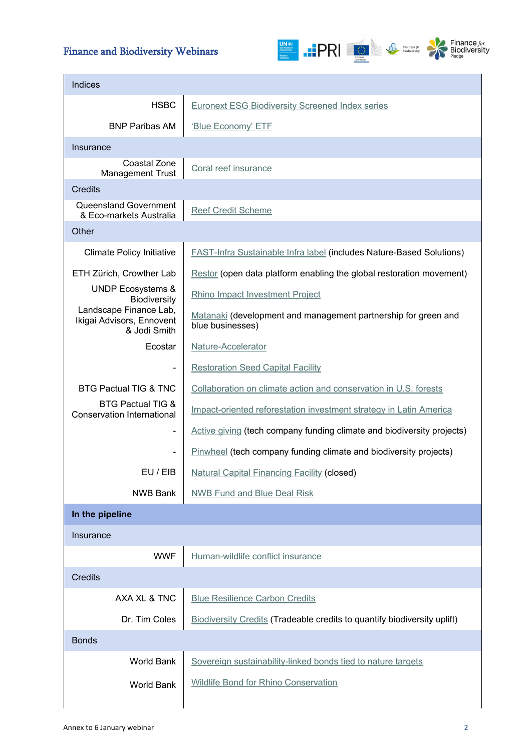# Finance and Biodiversity Webinars



| Indices                                                             |                                                                                    |
|---------------------------------------------------------------------|------------------------------------------------------------------------------------|
| <b>HSBC</b>                                                         | <b>Euronext ESG Biodiversity Screened Index series</b>                             |
| <b>BNP Paribas AM</b>                                               | 'Blue Economy' ETF                                                                 |
| Insurance                                                           |                                                                                    |
| Coastal Zone<br><b>Management Trust</b>                             | Coral reef insurance                                                               |
| <b>Credits</b>                                                      |                                                                                    |
| <b>Queensland Government</b><br>& Eco-markets Australia             | <b>Reef Credit Scheme</b>                                                          |
| Other                                                               |                                                                                    |
| <b>Climate Policy Initiative</b>                                    | <b>FAST-Infra Sustainable Infra label (includes Nature-Based Solutions)</b>        |
| ETH Zürich, Crowther Lab                                            | Restor (open data platform enabling the global restoration movement)               |
| <b>UNDP Ecosystems &amp;</b><br>Biodiversity                        | Rhino Impact Investment Project                                                    |
| Landscape Finance Lab,<br>Ikigai Advisors, Ennovent<br>& Jodi Smith | Matanaki (development and management partnership for green and<br>blue businesses) |
| Ecostar                                                             | Nature-Accelerator                                                                 |
| -                                                                   | <b>Restoration Seed Capital Facility</b>                                           |
| <b>BTG Pactual TIG &amp; TNC</b>                                    | Collaboration on climate action and conservation in U.S. forests                   |
| <b>BTG Pactual TIG &amp;</b><br><b>Conservation International</b>   | Impact-oriented reforestation investment strategy in Latin America                 |
| -                                                                   | Active giving (tech company funding climate and biodiversity projects)             |
| ۰                                                                   | <b>Pinwheel</b> (tech company funding climate and biodiversity projects)           |
| EU / EIB                                                            | <b>Natural Capital Financing Facility (closed)</b>                                 |
| <b>NWB Bank</b>                                                     | <b>NWB Fund and Blue Deal Risk</b>                                                 |
| In the pipeline                                                     |                                                                                    |
| Insurance                                                           |                                                                                    |
| <b>WWF</b>                                                          | Human-wildlife conflict insurance                                                  |
| <b>Credits</b>                                                      |                                                                                    |
| AXA XL & TNC                                                        | <b>Blue Resilience Carbon Credits</b>                                              |
| Dr. Tim Coles                                                       | <b>Biodiversity Credits (Tradeable credits to quantify biodiversity uplift)</b>    |
| <b>Bonds</b>                                                        |                                                                                    |
| <b>World Bank</b>                                                   | Sovereign sustainability-linked bonds tied to nature targets                       |
| <b>World Bank</b>                                                   | <b>Wildlife Bond for Rhino Conservation</b>                                        |